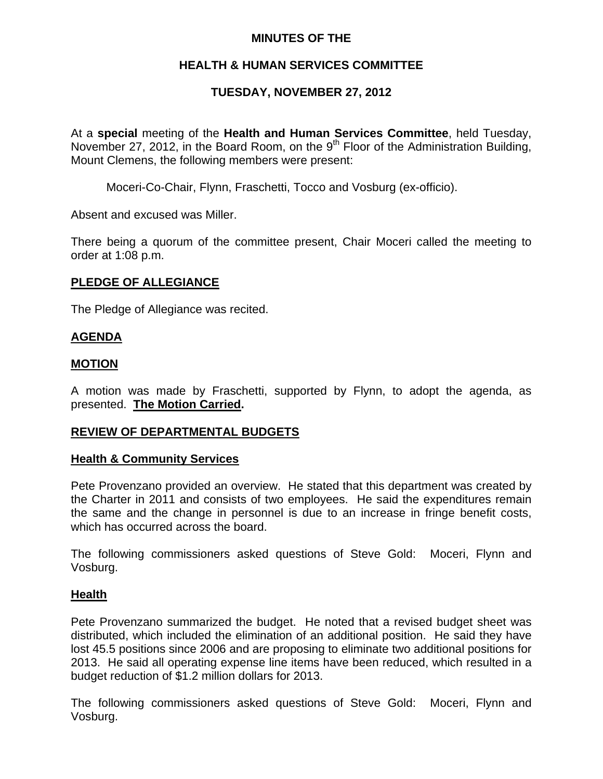## **MINUTES OF THE**

# **HEALTH & HUMAN SERVICES COMMITTEE**

# **TUESDAY, NOVEMBER 27, 2012**

At a **special** meeting of the **Health and Human Services Committee**, held Tuesday, November 27, 2012, in the Board Room, on the  $9<sup>th</sup>$  Floor of the Administration Building, Mount Clemens, the following members were present:

Moceri-Co-Chair, Flynn, Fraschetti, Tocco and Vosburg (ex-officio).

Absent and excused was Miller.

There being a quorum of the committee present, Chair Moceri called the meeting to order at 1:08 p.m.

## **PLEDGE OF ALLEGIANCE**

The Pledge of Allegiance was recited.

## **AGENDA**

## **MOTION**

A motion was made by Fraschetti, supported by Flynn, to adopt the agenda, as presented. **The Motion Carried.** 

## **REVIEW OF DEPARTMENTAL BUDGETS**

#### **Health & Community Services**

Pete Provenzano provided an overview. He stated that this department was created by the Charter in 2011 and consists of two employees. He said the expenditures remain the same and the change in personnel is due to an increase in fringe benefit costs, which has occurred across the board.

The following commissioners asked questions of Steve Gold: Moceri, Flynn and Vosburg.

#### **Health**

Pete Provenzano summarized the budget. He noted that a revised budget sheet was distributed, which included the elimination of an additional position. He said they have lost 45.5 positions since 2006 and are proposing to eliminate two additional positions for 2013. He said all operating expense line items have been reduced, which resulted in a budget reduction of \$1.2 million dollars for 2013.

The following commissioners asked questions of Steve Gold: Moceri, Flynn and Vosburg.